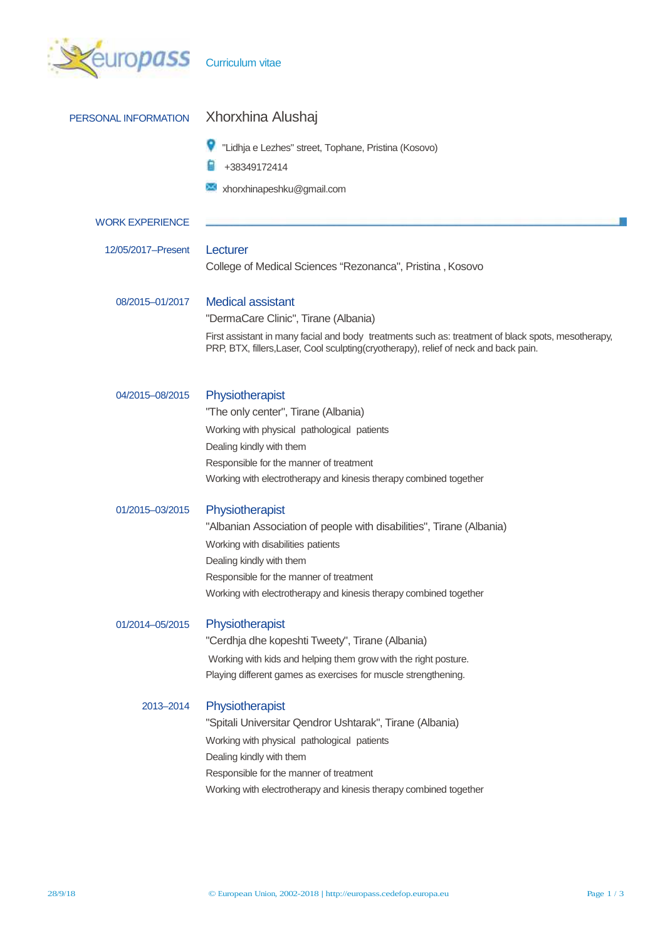

| PERSONAL INFORMATION   | Xhorxhina Alushaj                                                                                                                                                                          |  |  |
|------------------------|--------------------------------------------------------------------------------------------------------------------------------------------------------------------------------------------|--|--|
|                        | "Lidhja e Lezhes" street, Tophane, Pristina (Kosovo)                                                                                                                                       |  |  |
|                        | +38349172414                                                                                                                                                                               |  |  |
|                        | xhorxhinapeshku@gmail.com                                                                                                                                                                  |  |  |
| <b>WORK EXPERIENCE</b> |                                                                                                                                                                                            |  |  |
| 12/05/2017-Present     | Lecturer                                                                                                                                                                                   |  |  |
|                        | College of Medical Sciences "Rezonanca", Pristina, Kosovo                                                                                                                                  |  |  |
| 08/2015-01/2017        | <b>Medical assistant</b>                                                                                                                                                                   |  |  |
|                        | "DermaCare Clinic", Tirane (Albania)                                                                                                                                                       |  |  |
|                        | First assistant in many facial and body treatments such as: treatment of black spots, mesotherapy,<br>PRP, BTX, fillers, Laser, Cool sculpting(cryotherapy), relief of neck and back pain. |  |  |
| 04/2015-08/2015        | Physiotherapist                                                                                                                                                                            |  |  |
|                        | "The only center", Tirane (Albania)                                                                                                                                                        |  |  |
|                        | Working with physical pathological patients                                                                                                                                                |  |  |
|                        | Dealing kindly with them                                                                                                                                                                   |  |  |
|                        | Responsible for the manner of treatment                                                                                                                                                    |  |  |
|                        | Working with electrotherapy and kinesis therapy combined together                                                                                                                          |  |  |
| 01/2015-03/2015        | Physiotherapist                                                                                                                                                                            |  |  |
|                        | "Albanian Association of people with disabilities", Tirane (Albania)                                                                                                                       |  |  |
|                        | Working with disabilities patients                                                                                                                                                         |  |  |
|                        | Dealing kindly with them                                                                                                                                                                   |  |  |
|                        | Responsible for the manner of treatment                                                                                                                                                    |  |  |
|                        | Working with electrotherapy and kinesis therapy combined together                                                                                                                          |  |  |
| 01/2014-05/2015        | Physiotherapist                                                                                                                                                                            |  |  |
|                        | "Cerdhja dhe kopeshti Tweety", Tirane (Albania)                                                                                                                                            |  |  |
|                        | Working with kids and helping them grow with the right posture.                                                                                                                            |  |  |
|                        | Playing different games as exercises for muscle strengthening.                                                                                                                             |  |  |
| 2013-2014              | Physiotherapist                                                                                                                                                                            |  |  |
|                        | "Spitali Universitar Qendror Ushtarak", Tirane (Albania)                                                                                                                                   |  |  |
|                        | Working with physical pathological patients                                                                                                                                                |  |  |
|                        | Dealing kindly with them                                                                                                                                                                   |  |  |
|                        | Responsible for the manner of treatment                                                                                                                                                    |  |  |
|                        | Working with electrotherapy and kinesis therapy combined together                                                                                                                          |  |  |
|                        |                                                                                                                                                                                            |  |  |
|                        |                                                                                                                                                                                            |  |  |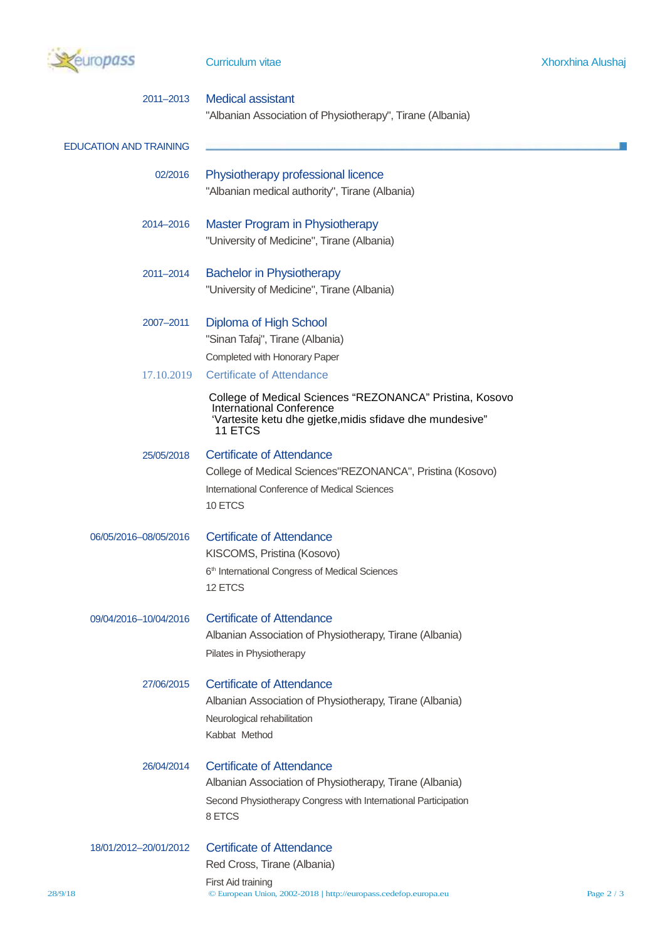

|         | 2011-2013                     | <b>Medical assistant</b><br>"Albanian Association of Physiotherapy", Tirane (Albania)                                                                              |            |  |  |  |
|---------|-------------------------------|--------------------------------------------------------------------------------------------------------------------------------------------------------------------|------------|--|--|--|
|         | <b>EDUCATION AND TRAINING</b> |                                                                                                                                                                    |            |  |  |  |
|         | 02/2016                       | Physiotherapy professional licence                                                                                                                                 |            |  |  |  |
|         |                               | "Albanian medical authority", Tirane (Albania)                                                                                                                     |            |  |  |  |
|         | 2014-2016                     | Master Program in Physiotherapy                                                                                                                                    |            |  |  |  |
|         |                               | "University of Medicine", Tirane (Albania)                                                                                                                         |            |  |  |  |
|         | 2011-2014                     | <b>Bachelor in Physiotherapy</b>                                                                                                                                   |            |  |  |  |
|         |                               | "University of Medicine", Tirane (Albania)                                                                                                                         |            |  |  |  |
|         | 2007-2011                     | Diploma of High School                                                                                                                                             |            |  |  |  |
|         |                               | "Sinan Tafaj", Tirane (Albania)                                                                                                                                    |            |  |  |  |
|         |                               | Completed with Honorary Paper                                                                                                                                      |            |  |  |  |
|         | 17.10.2019                    | <b>Certificate of Attendance</b>                                                                                                                                   |            |  |  |  |
|         |                               | College of Medical Sciences "REZONANCA" Pristina, Kosovo<br><b>International Conference</b><br>'Vartesite ketu dhe gjetke, midis sfidave dhe mundesive"<br>11 ETCS |            |  |  |  |
|         | 25/05/2018                    | <b>Certificate of Attendance</b>                                                                                                                                   |            |  |  |  |
|         |                               | College of Medical Sciences"REZONANCA", Pristina (Kosovo)                                                                                                          |            |  |  |  |
|         |                               | International Conference of Medical Sciences                                                                                                                       |            |  |  |  |
|         |                               | 10 ETCS                                                                                                                                                            |            |  |  |  |
|         | 06/05/2016-08/05/2016         | <b>Certificate of Attendance</b>                                                                                                                                   |            |  |  |  |
|         |                               | KISCOMS, Pristina (Kosovo)                                                                                                                                         |            |  |  |  |
|         |                               | 6 <sup>th</sup> International Congress of Medical Sciences                                                                                                         |            |  |  |  |
|         |                               | 12 ETCS                                                                                                                                                            |            |  |  |  |
|         | 09/04/2016-10/04/2016         | <b>Certificate of Attendance</b>                                                                                                                                   |            |  |  |  |
|         |                               | Albanian Association of Physiotherapy, Tirane (Albania)                                                                                                            |            |  |  |  |
|         |                               | Pilates in Physiotherapy                                                                                                                                           |            |  |  |  |
|         | 27/06/2015                    | <b>Certificate of Attendance</b>                                                                                                                                   |            |  |  |  |
|         |                               | Albanian Association of Physiotherapy, Tirane (Albania)                                                                                                            |            |  |  |  |
|         |                               | Neurological rehabilitation                                                                                                                                        |            |  |  |  |
|         |                               | Kabbat Method                                                                                                                                                      |            |  |  |  |
|         | 26/04/2014                    | <b>Certificate of Attendance</b>                                                                                                                                   |            |  |  |  |
|         |                               | Albanian Association of Physiotherapy, Tirane (Albania)                                                                                                            |            |  |  |  |
|         |                               | Second Physiotherapy Congress with International Participation                                                                                                     |            |  |  |  |
|         |                               | 8 ETCS                                                                                                                                                             |            |  |  |  |
|         | 18/01/2012-20/01/2012         | <b>Certificate of Attendance</b>                                                                                                                                   |            |  |  |  |
|         |                               | Red Cross, Tirane (Albania)                                                                                                                                        |            |  |  |  |
|         |                               | First Aid training                                                                                                                                                 |            |  |  |  |
| 28/9/18 |                               | $\copyright$ European Union, 2002-2018   http://europass.cedefop.europa.eu                                                                                         | Page $2/3$ |  |  |  |